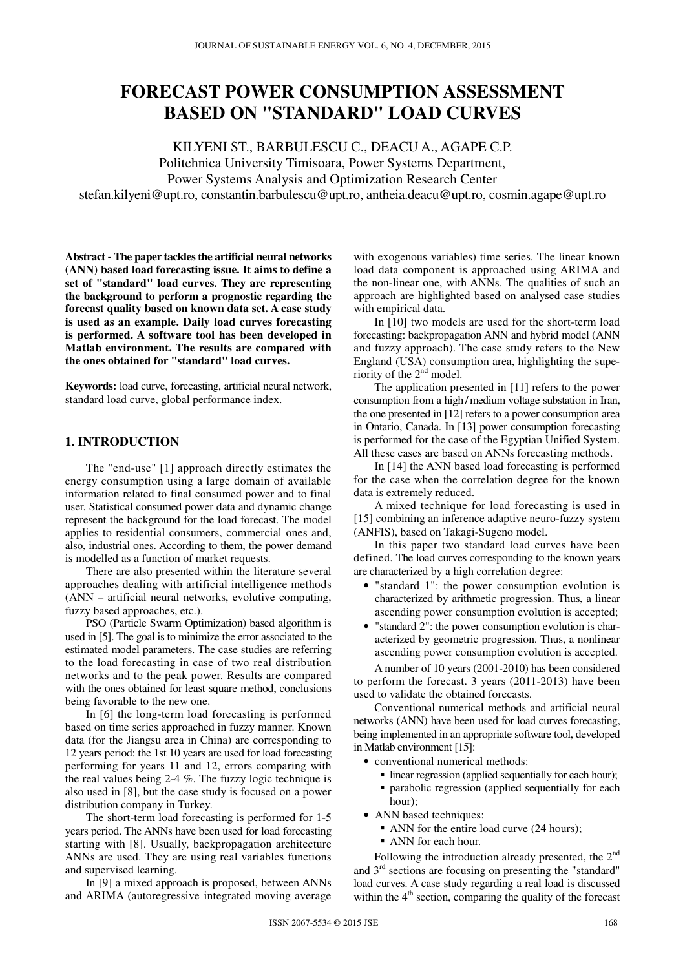# **FORECAST POWER CONSUMPTION ASSESSMENT BASED ON "STANDARD" LOAD CURVES**

KILYENI ST., BARBULESCU C., DEACU A., AGAPE C.P. Politehnica University Timisoara, Power Systems Department, Power Systems Analysis and Optimization Research Center stefan.kilyeni@upt.ro, constantin.barbulescu@upt.ro, antheia.deacu@upt.ro, cosmin.agape@upt.ro

**Abstract - The paper tackles the artificial neural networks (ANN) based load forecasting issue. It aims to define a set of "standard" load curves. They are representing the background to perform a prognostic regarding the forecast quality based on known data set. A case study is used as an example. Daily load curves forecasting is performed. A software tool has been developed in Matlab environment. The results are compared with the ones obtained for "standard" load curves.** 

**Keywords:** load curve, forecasting, artificial neural network, standard load curve, global performance index.

## **1. INTRODUCTION**

The "end-use" [1] approach directly estimates the energy consumption using a large domain of available information related to final consumed power and to final user. Statistical consumed power data and dynamic change represent the background for the load forecast. The model applies to residential consumers, commercial ones and, also, industrial ones. According to them, the power demand is modelled as a function of market requests.

There are also presented within the literature several approaches dealing with artificial intelligence methods (ANN – artificial neural networks, evolutive computing, fuzzy based approaches, etc.).

PSO (Particle Swarm Optimization) based algorithm is used in [5]. The goal is to minimize the error associated to the estimated model parameters. The case studies are referring to the load forecasting in case of two real distribution networks and to the peak power. Results are compared with the ones obtained for least square method, conclusions being favorable to the new one.

In [6] the long-term load forecasting is performed based on time series approached in fuzzy manner. Known data (for the Jiangsu area in China) are corresponding to 12 years period: the 1st 10 years are used for load forecasting performing for years 11 and 12, errors comparing with the real values being 2-4 %. The fuzzy logic technique is also used in [8], but the case study is focused on a power distribution company in Turkey.

The short-term load forecasting is performed for 1-5 years period. The ANNs have been used for load forecasting starting with [8]. Usually, backpropagation architecture ANNs are used. They are using real variables functions and supervised learning.

In [9] a mixed approach is proposed, between ANNs and ARIMA (autoregressive integrated moving average

with exogenous variables) time series. The linear known load data component is approached using ARIMA and the non-linear one, with ANNs. The qualities of such an approach are highlighted based on analysed case studies with empirical data.

In [10] two models are used for the short-term load forecasting: backpropagation ANN and hybrid model (ANN and fuzzy approach). The case study refers to the New England (USA) consumption area, highlighting the superiority of the  $2<sup>nd</sup>$  model.

The application presented in [11] refers to the power consumption from a high/medium voltage substation in Iran, the one presented in [12] refers to a power consumption area in Ontario, Canada. In [13] power consumption forecasting is performed for the case of the Egyptian Unified System. All these cases are based on ANNs forecasting methods.

In [14] the ANN based load forecasting is performed for the case when the correlation degree for the known data is extremely reduced.

A mixed technique for load forecasting is used in [15] combining an inference adaptive neuro-fuzzy system (ANFIS), based on Takagi-Sugeno model.

In this paper two standard load curves have been defined. The load curves corresponding to the known years are characterized by a high correlation degree:

- "standard 1": the power consumption evolution is characterized by arithmetic progression. Thus, a linear ascending power consumption evolution is accepted;
- "standard 2": the power consumption evolution is characterized by geometric progression. Thus, a nonlinear ascending power consumption evolution is accepted.

A number of 10 years (2001-2010) has been considered to perform the forecast. 3 years (2011-2013) have been used to validate the obtained forecasts.

Conventional numerical methods and artificial neural networks (ANN) have been used for load curves forecasting, being implemented in an appropriate software tool, developed in Matlab environment [15]:

- conventional numerical methods:
	- linear regression (applied sequentially for each hour);
	- parabolic regression (applied sequentially for each hour);
- ANN based techniques:
	- ANN for the entire load curve (24 hours);
	- ANN for each hour.

Following the introduction already presented, the 2<sup>nd</sup> and  $3<sup>rd</sup>$  sections are focusing on presenting the "standard" load curves. A case study regarding a real load is discussed within the  $4<sup>th</sup>$  section, comparing the quality of the forecast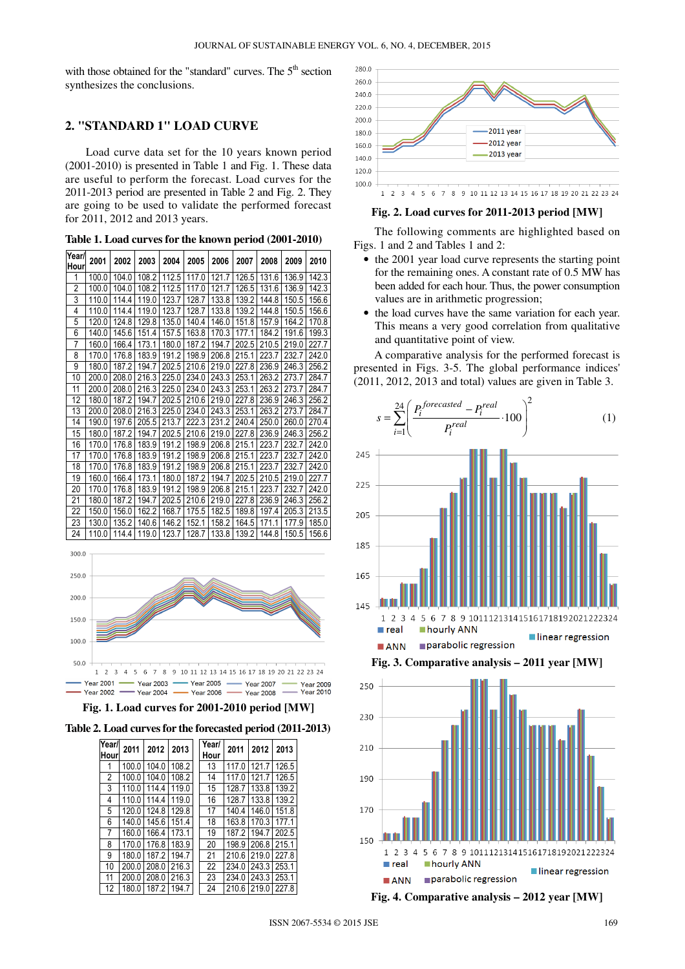with those obtained for the "standard" curves. The  $5<sup>th</sup>$  section synthesizes the conclusions.

#### **2. "STANDARD 1" LOAD CURVE**

Load curve data set for the 10 years known period (2001-2010) is presented in Table 1 and Fig. 1. These data are useful to perform the forecast. Load curves for the 2011-2013 period are presented in Table 2 and Fig. 2. They are going to be used to validate the performed forecast for 2011, 2012 and 2013 years.

| Year/<br>Hour | 2001  | 2002  | 2003  | 2004  | 2005  | 2006  | 2007  | 2008  | 2009  | 2010  |
|---------------|-------|-------|-------|-------|-------|-------|-------|-------|-------|-------|
| 1             | 100.0 | 104.0 | 108.2 | 112.5 | 117.0 | 121.7 | 126.5 | 131.6 | 136.9 | 142.3 |
| 2             | 100.0 | 104.0 | 108.2 | 112.5 | 117.0 | 121.7 | 126.5 | 131.6 | 136.9 | 142.3 |
| 3             | 110.0 | 114.4 | 119.0 | 123.7 | 128.7 | 133.8 | 139.2 | 144.8 | 150.5 | 156.6 |
| 4             | 110.0 | 114.4 | 119.0 | 123.7 | 128.7 | 133.8 | 139.2 | 144.8 | 150.5 | 156.6 |
| 5             | 120.0 | 124.8 | 129.8 | 135.0 | 140.4 | 146.0 | 151.8 | 157.9 | 164.2 | 170.8 |
| 6             | 140.0 | 145.6 | 151.4 | 157.5 | 163.8 | 170.3 | 177.1 | 184.2 | 191.6 | 199.3 |
| 7             | 160.0 | 166.4 | 173.1 | 180.0 | 187.2 | 194.7 | 202.5 | 210.5 | 219.0 | 227.7 |
| 8             | 170.0 | 176.8 | 183.9 | 191.2 | 198.9 | 206.8 | 215.1 | 223.7 | 232.7 | 242.0 |
| 9             | 180.0 | 187.2 | 194.7 | 202.5 | 210.6 | 219.0 | 227.8 | 236.9 | 246.3 | 256.2 |
| 10            | 200.0 | 208.0 | 216.3 | 225.0 | 234.0 | 243.3 | 253.1 | 263.2 | 273.7 | 284.7 |
| 11            | 200.0 | 208.0 | 216.3 | 225.0 | 234.0 | 243.3 | 253.1 | 263.2 | 273.7 | 284.7 |
| 12            | 180.0 | 187.2 | 194.7 | 202.5 | 210.6 | 219.0 | 227.8 | 236.9 | 246.3 | 256.2 |
| 13            | 200.0 | 208.0 | 216.3 | 225.0 | 234.0 | 243.3 | 253.1 | 263.2 | 273.7 | 284.7 |
| 14            | 190.0 | 197.6 | 205.5 | 213.7 | 222.3 | 231.2 | 240.4 | 250.0 | 260.0 | 270.4 |
| 15            | 180.0 | 187.2 | 194.7 | 202.5 | 210.6 | 219.0 | 227.8 | 236.9 | 246.3 | 256.2 |
| 16            | 170.0 | 176.8 | 183.9 | 191.2 | 198.9 | 206.8 | 215.1 | 223.7 | 232.7 | 242.0 |
| 17            | 170.0 | 176.8 | 183.9 | 191.2 | 198.9 | 206.8 | 215.1 | 223.7 | 232.7 | 242.0 |
| 18            | 170.0 | 176.8 | 183.9 | 191.2 | 198.9 | 206.8 | 215.1 | 223.7 | 232.7 | 242.0 |
| 19            | 160.0 | 166.4 | 173.1 | 180.0 | 187.2 | 194.7 | 202.5 | 210.5 | 219.0 | 227.7 |
| 20            | 170.0 | 176.8 | 183.9 | 191.2 | 198.9 | 206.8 | 215.1 | 223.7 | 232.7 | 242.0 |
| 21            | 180.0 | 187.2 | 194.7 | 202.5 | 210.6 | 219.0 | 227.8 | 236.9 | 246.3 | 256.2 |
| 22            | 150.0 | 156.0 | 162.2 | 168.7 | 175.5 | 182.5 | 189.8 | 197.4 | 205.3 | 213.5 |
| 23            | 130.0 | 135.2 | 140.6 | 146.2 | 152.1 | 158.2 | 164.5 | 171.1 | 177.9 | 185.0 |
| 24            | 110.0 | 114.4 | 119.0 | 123.7 | 128.7 | 133.8 | 139.2 | 144.8 | 150.5 | 156.6 |

| Table 1. Load curves for the known period (2001-2010) |  |  |  |
|-------------------------------------------------------|--|--|--|
|-------------------------------------------------------|--|--|--|





|  |  | Table 2. Load curves for the forecasted period (2011-2013) |  |  |
|--|--|------------------------------------------------------------|--|--|
|--|--|------------------------------------------------------------|--|--|

| Year/<br>Hour  | 2011  | 2012  | 2013  | Year/<br>Hour | 2011  | 2012  | 2013  |
|----------------|-------|-------|-------|---------------|-------|-------|-------|
| 1              | 100.0 | 104.0 | 108.2 | 13            | 117.0 | 121.7 | 126.5 |
| $\overline{2}$ | 100.0 | 104.0 | 108.2 | 14            | 1170  | 121.7 | 126.5 |
| 3              | 110.0 | 114.4 | 119.0 | 15            | 128.7 | 133.8 | 139.2 |
| 4              | 110.0 | 114.4 | 119.0 | 16            | 128.7 | 133.8 | 139.2 |
| 5              | 120.0 | 124.8 | 129.8 | 17            | 140.4 | 146.0 | 151.8 |
| 6              | 140.0 | 145.6 | 151.4 | 18            | 163.8 | 170.3 | 177.1 |
| 7              | 160.0 | 166.4 | 173.1 | 19            | 187.2 | 194.7 | 202.5 |
| 8              | 170.0 | 176.8 | 183.9 | 20            | 198.9 | 206.8 | 215.1 |
| 9              | 180.0 | 187.2 | 194.7 | 21            | 210.6 | 219.0 | 227.8 |
| 10             | 200.0 | 208.0 | 216.3 | 22            | 234.0 | 243.3 | 253.1 |
| 11             | 200.0 | 208.0 | 216.3 | 23            | 234.0 | 243.3 | 253.1 |
| 12             | 180.0 | 187.2 | 194.7 | 24            | 210.6 | 219.0 | 227.8 |



#### **Fig. 2. Load curves for 2011-2013 period [MW]**

The following comments are highlighted based on Figs. 1 and 2 and Tables 1 and 2:

- the 2001 year load curve represents the starting point for the remaining ones. A constant rate of 0.5 MW has been added for each hour. Thus, the power consumption values are in arithmetic progression;
- the load curves have the same variation for each year. This means a very good correlation from qualitative and quantitative point of view.

A comparative analysis for the performed forecast is presented in Figs. 3-5. The global performance indices' (2011, 2012, 2013 and total) values are given in Table 3.







**Fig. 4. Comparative analysis – 2012 year [MW]**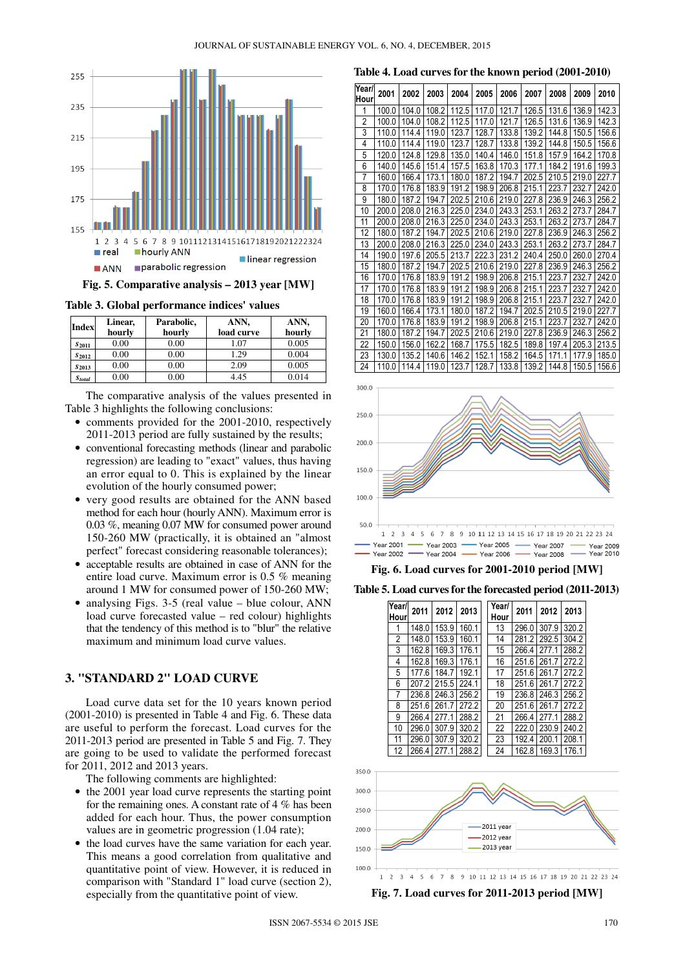

**Table 3. Global performance indices' values** 

| Index         | Linear,<br>hourly | Parabolic,<br>hourly | ANN,<br>load curve | ANN,<br>hourly |
|---------------|-------------------|----------------------|--------------------|----------------|
| $S_{2011}$    | 0.00              | 0.00                 | 1.07               | 0.005          |
| $S_{2012}$    | 0.00              | 0.00                 | 1.29               | 0.004          |
| $S_{2013}$    | 0.00              | 0.00                 | 2.09               | 0.005          |
| <b>Stotal</b> | 0.00              | 0.00                 | 4.45               | 0.014          |

The comparative analysis of the values presented in Table 3 highlights the following conclusions:

- comments provided for the 2001-2010, respectively 2011-2013 period are fully sustained by the results;
- conventional forecasting methods (linear and parabolic regression) are leading to "exact" values, thus having an error equal to 0. This is explained by the linear evolution of the hourly consumed power;
- very good results are obtained for the ANN based method for each hour (hourly ANN). Maximum error is 0.03 %, meaning 0.07 MW for consumed power around 150-260 MW (practically, it is obtained an "almost perfect" forecast considering reasonable tolerances);
- acceptable results are obtained in case of ANN for the entire load curve. Maximum error is 0.5 % meaning around 1 MW for consumed power of 150-260 MW;
- analysing Figs.  $3-5$  (real value blue colour, ANN load curve forecasted value – red colour) highlights that the tendency of this method is to "blur" the relative maximum and minimum load curve values.

# **3. "STANDARD 2" LOAD CURVE**

Load curve data set for the 10 years known period (2001-2010) is presented in Table 4 and Fig. 6. These data are useful to perform the forecast. Load curves for the 2011-2013 period are presented in Table 5 and Fig. 7. They are going to be used to validate the performed forecast for 2011, 2012 and 2013 years.

The following comments are highlighted:

- the 2001 year load curve represents the starting point for the remaining ones. A constant rate of 4 % has been added for each hour. Thus, the power consumption values are in geometric progression (1.04 rate);
- the load curves have the same variation for each year. This means a good correlation from qualitative and quantitative point of view. However, it is reduced in comparison with "Standard 1" load curve (section 2), especially from the quantitative point of view.

**Table 4. Load curves for the known period (2001-2010)** 

| Year/<br>Hour | 2001  | 2002  | 2003  | 2004  | 2005  | 2006  | 2007  | 2008  | 2009  | 2010  |
|---------------|-------|-------|-------|-------|-------|-------|-------|-------|-------|-------|
| 1             | 100.0 | 104.0 | 108.2 | 112.5 | 117.0 | 121.7 | 126.5 | 131.6 | 136.9 | 142.3 |
| 2             | 100.0 | 104.0 | 108.2 | 112.5 | 117.0 | 121.7 | 126.5 | 131.6 | 136.9 | 142.3 |
| 3             | 110.0 | 114.4 | 119.0 | 123.7 | 128.7 | 133.8 | 139.2 | 144.8 | 150.5 | 156.6 |
| 4             | 110.0 | 114.4 | 119.0 | 123.7 | 128.7 | 133.8 | 139.2 | 144.8 | 150.5 | 156.6 |
| 5             | 120.0 | 124.8 | 129.8 | 135.0 | 140.4 | 146.0 | 151.8 | 157.9 | 164.2 | 170.8 |
| 6             | 140.0 | 145.6 | 151.4 | 157.5 | 163.8 | 170.3 | 177.1 | 184.2 | 191.6 | 199.3 |
| 7             | 160.0 | 166.4 | 173.1 | 180.0 | 187.2 | 194.7 | 202.5 | 210.5 | 219.0 | 227.7 |
| 8             | 170.0 | 176.8 | 183.9 | 191.2 | 198.9 | 206.8 | 215.1 | 223.7 | 232.7 | 242.0 |
| 9             | 180.0 | 187.2 | 194.7 | 202.5 | 210.6 | 219.0 | 227.8 | 236.9 | 246.3 | 256.2 |
| 10            | 200.0 | 208.0 | 216.3 | 225.0 | 234.0 | 243.3 | 253.1 | 263.2 | 273.7 | 284.7 |
| 11            | 200.0 | 208.0 | 216.3 | 225.0 | 234.0 | 243.3 | 253.1 | 263.2 | 273.7 | 284.7 |
| 12            | 180.0 | 187.2 | 194.7 | 202.5 | 210.6 | 219.0 | 227.8 | 236.9 | 246.3 | 256.2 |
| 13            | 200.0 | 208.0 | 216.3 | 225.0 | 234.0 | 243.3 | 253.1 | 263.2 | 273.7 | 284.7 |
| 14            | 190.0 | 197.6 | 205.5 | 213.7 | 222.3 | 231.2 | 240.4 | 250.0 | 260.0 | 270.4 |
| 15            | 180.0 | 187.2 | 194.7 | 202.5 | 210.6 | 219.0 | 227.8 | 236.9 | 246.3 | 256.2 |
| 16            | 170.0 | 176.8 | 183.9 | 191.2 | 198.9 | 206.8 | 215.1 | 223.7 | 232.7 | 242.0 |
| 17            | 170.0 | 176.8 | 183.9 | 191.2 | 198.9 | 206.8 | 215.1 | 223.7 | 232.7 | 242.0 |
| 18            | 170.0 | 176.8 | 183.9 | 191.2 | 198.9 | 206.8 | 215.1 | 223.7 | 232.7 | 242.0 |
| 19            | 160.0 | 166.4 | 173.1 | 180.0 | 187.2 | 194.7 | 202.5 | 210.5 | 219.0 | 227.7 |
| 20            | 170.0 | 176.8 | 183.9 | 191.2 | 198.9 | 206.8 | 215.1 | 223.7 | 232.7 | 242.0 |
| 21            | 180.0 | 187.2 | 194.7 | 202.5 | 210.6 | 219.0 | 227.8 | 236.9 | 246.3 | 256.2 |
| 22            | 150.0 | 156.0 | 162.2 | 168.7 | 175.5 | 182.5 | 189.8 | 197.4 | 205.3 | 213.5 |
| 23            | 130.0 | 135.2 | 140.6 | 146.2 | 152.1 | 158.2 | 164.5 | 171.1 | 177.9 | 185.0 |
| 24            | 110.0 | 114.4 | 119.0 | 123.7 | 128.7 | 133.8 | 139.2 | 144.8 | 150.5 | 156.6 |



**Fig. 6. Load curves for 2001-2010 period [MW]** 

**Table 5. Load curves for the forecasted period (2011-2013)** 

| Year/<br>Hour | 2011  | 2012  | 2013  | Year/<br>Hour | 2011  | 2012  | 2013  |
|---------------|-------|-------|-------|---------------|-------|-------|-------|
|               | 148.0 | 153.9 | 160.1 | 13            | 296.0 | 307.9 | 320.2 |
| 2             | 148.0 | 153.9 | 160.1 | 14            | 281.2 | 292.5 | 304.2 |
| 3             | 162.8 | 169.3 | 176.1 | 15            | 266.4 | 277.1 | 288.2 |
| 4             | 162.8 | 169.3 | 176.1 | 16            | 251.6 | 261.7 | 272.2 |
| 5             | 177.6 | 184.7 | 192.1 | 17            | 251.6 | 261.7 | 272.2 |
| 6             | 207.2 | 215.5 | 224.1 | 18            | 251.6 | 261.7 | 272.2 |
| 7             | 236.8 | 246.3 | 256.2 | 19            | 236.8 | 246.3 | 256.2 |
| 8             | 251.6 | 261.7 | 272.2 | 20            | 251.6 | 261.7 | 272.2 |
| 9             | 266.4 | 277.1 | 288.2 | 21            | 266.4 | 277.1 | 288.2 |
| 10            | 296.0 | 307.9 | 320.2 | 22            | 222.0 | 230.9 | 240.2 |
| 11            | 296.0 | 307.9 | 320.2 | 23            | 192.4 | 200.1 | 208.1 |
| 12            | 266.4 | 277.1 | 288.2 | 24            | 162.8 | 169.3 | 176.1 |



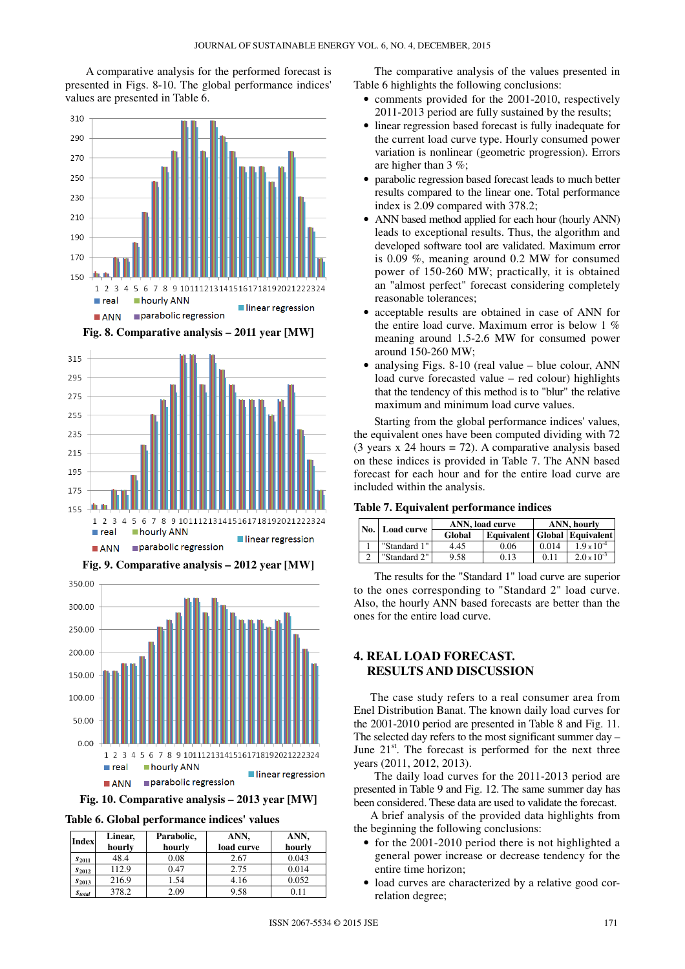A comparative analysis for the performed forecast is presented in Figs. 8-10. The global performance indices' values are presented in Table 6.



**Fig. 8. Comparative analysis – 2011 year [MW]** 



**Fig. 9. Comparative analysis – 2012 year [MW]** 



**Fig. 10. Comparative analysis – 2013 year [MW]** 

**Table 6. Global performance indices' values** 

| <b>Index</b>              | Linear,<br>hourly | Parabolic,<br>hourly | ANN,<br>load curve | ANN,<br>hourly |
|---------------------------|-------------------|----------------------|--------------------|----------------|
| $S_{2011}$                | 48.4              | 0.08                 | 2.67               | 0.043          |
| $S_{2012}$                | 112.9             | 0.47                 | 2.75               | 0.014          |
| $S_{2013}$                | 216.9             | 1.54                 | 4.16               | 0.052          |
| <i>S</i> <sub>total</sub> | 378.2             | 2.09                 | 9.58               | 0.11           |

The comparative analysis of the values presented in Table 6 highlights the following conclusions:

- comments provided for the 2001-2010, respectively 2011-2013 period are fully sustained by the results;
- linear regression based forecast is fully inadequate for the current load curve type. Hourly consumed power variation is nonlinear (geometric progression). Errors are higher than 3 %;
- parabolic regression based forecast leads to much better results compared to the linear one. Total performance index is 2.09 compared with 378.2;
- ANN based method applied for each hour (hourly ANN) leads to exceptional results. Thus, the algorithm and developed software tool are validated. Maximum error is 0.09 %, meaning around 0.2 MW for consumed power of 150-260 MW; practically, it is obtained an "almost perfect" forecast considering completely reasonable tolerances;
- acceptable results are obtained in case of ANN for the entire load curve. Maximum error is below 1 % meaning around 1.5-2.6 MW for consumed power around 150-260 MW;
- analysing Figs.  $8-10$  (real value blue colour, ANN load curve forecasted value – red colour) highlights that the tendency of this method is to "blur" the relative maximum and minimum load curve values.

Starting from the global performance indices' values, the equivalent ones have been computed dividing with 72 (3 years  $x$  24 hours = 72). A comparative analysis based on these indices is provided in Table 7. The ANN based forecast for each hour and for the entire load curve are included within the analysis.

#### **Table 7. Equivalent performance indices**

|  | No. Load curve |        | ANN, load curve                  | ANN, hourly |                      |  |
|--|----------------|--------|----------------------------------|-------------|----------------------|--|
|  |                | Global | Equivalent   Global   Equivalent |             |                      |  |
|  | "Standard 1"   | 4.45   | 0.06                             | 0.014       | $1.9 \times 10^{-4}$ |  |
|  | "Standard 2"   | 9.58   | 0.13                             | 0.11        | $2.0 \times 10^{-3}$ |  |

The results for the "Standard 1" load curve are superior to the ones corresponding to "Standard 2" load curve. Also, the hourly ANN based forecasts are better than the ones for the entire load curve.

# **4. REAL LOAD FORECAST. RESULTS AND DISCUSSION**

The case study refers to a real consumer area from Enel Distribution Banat. The known daily load curves for the 2001-2010 period are presented in Table 8 and Fig. 11. The selected day refers to the most significant summer day – June  $21<sup>st</sup>$ . The forecast is performed for the next three years (2011, 2012, 2013).

The daily load curves for the 2011-2013 period are presented in Table 9 and Fig. 12. The same summer day has been considered. These data are used to validate the forecast.

A brief analysis of the provided data highlights from the beginning the following conclusions:

- for the 2001-2010 period there is not highlighted a general power increase or decrease tendency for the entire time horizon;
- load curves are characterized by a relative good correlation degree;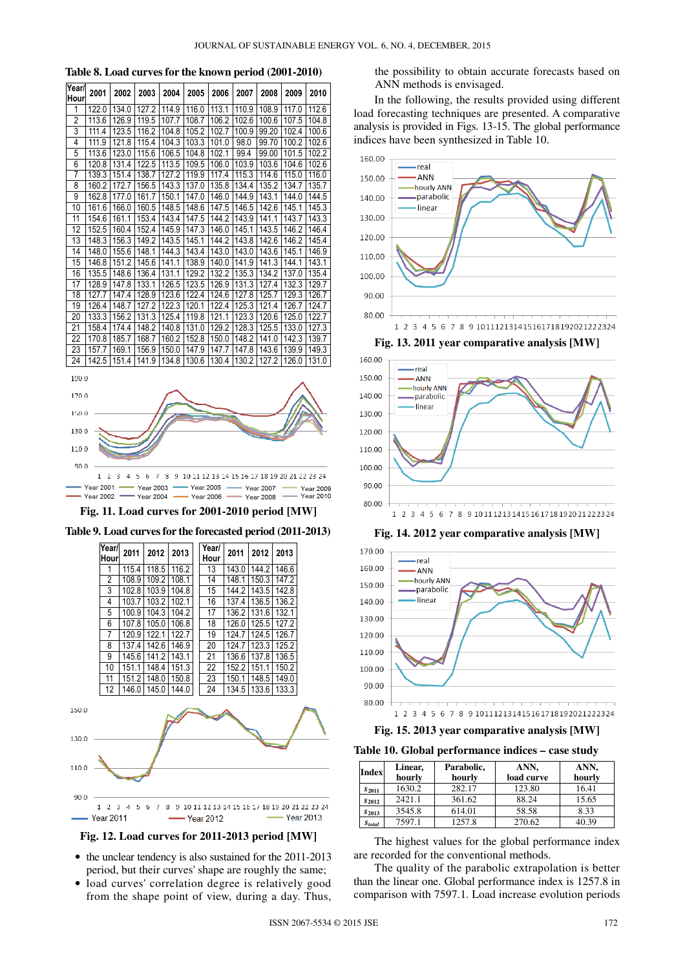|  |  | Table 8. Load curves for the known period (2001-2010) |  |
|--|--|-------------------------------------------------------|--|
|--|--|-------------------------------------------------------|--|

| Year/<br>Hour   | 2001  | 2002  | 2003  | 2004  | 2005  | 2006  | 2007  | 2008  | 2009  | 2010  |
|-----------------|-------|-------|-------|-------|-------|-------|-------|-------|-------|-------|
| 1               | 122.0 | 134.0 | 127.2 | 114.9 | 116.0 | 113.1 | 110.9 | 108.9 | 117.0 | 112.6 |
| $\overline{2}$  | 113.6 | 126.9 | 119.5 | 107.7 | 108.7 | 106.2 | 102.6 | 100.6 | 107.5 | 104.8 |
| 3               | 111.4 | 123.5 | 116.2 | 104.8 | 105.2 | 102.7 | 100.9 | 99.20 | 102.4 | 100.6 |
| 4               | 111.9 | 121.8 | 115.4 | 104.3 | 103.3 | 101.0 | 98.0  | 99.70 | 100.2 | 102.6 |
| 5               | 113.6 | 123.0 | 115.6 | 106.5 | 104.8 | 102.1 | 99.4  | 99.00 | 101.5 | 102.2 |
| 6               | 120.8 | 131.4 | 122.5 | 113.5 | 109.5 | 106.0 | 103.9 | 103.6 | 104.6 | 102.6 |
| 7               | 139.3 | 151.4 | 138.7 | 127.2 | 119.9 | 117.4 | 115.3 | 114.6 | 115.0 | 116.0 |
| 8               | 160.2 | 172.7 | 156.5 | 143.3 | 137.0 | 135.8 | 134.4 | 135.2 | 134.7 | 135.7 |
| 9               | 162.8 | 177.0 | 161.7 | 150.1 | 147.0 | 146.0 | 144.9 | 143.1 | 144.0 | 144.5 |
| 10              | 161.6 | 166.0 | 160.5 | 148.5 | 148.6 | 147.5 | 146.5 | 142.6 | 145.1 | 145.3 |
| 11              | 154.6 | 161.1 | 153.4 | 143.4 | 147.5 | 144.2 | 143.9 | 141.1 | 143.7 | 143.3 |
| 12              | 152.5 | 160.4 | 152.4 | 145.9 | 147.3 | 146.0 | 145.1 | 143.5 | 146.2 | 146.4 |
| $\overline{13}$ | 148.3 | 156.3 | 149.2 | 143.5 | 145.1 | 144.2 | 143.8 | 142.6 | 146.2 | 145.4 |
| 14              | 148.0 | 155.6 | 148.1 | 144.3 | 143.4 | 143.0 | 143.0 | 143.6 | 145.1 | 146.9 |
| 15              | 146.8 | 151.2 | 145.6 | 141.1 | 138.9 | 140.0 | 141.9 | 141.3 | 144.1 | 143.1 |
| 16              | 135.5 | 148.6 | 136.4 | 131.1 | 129.2 | 132.2 | 135.3 | 134.2 | 137.0 | 135.4 |
| 17              | 128.9 | 147.8 | 133.1 | 126.5 | 123.5 | 126.9 | 131.3 | 127.4 | 132.3 | 129.7 |
| 18              | 127.7 | 147.4 | 128.9 | 123.6 | 122.4 | 124.6 | 127.8 | 125.7 | 129.3 | 126.7 |
| 19              | 126.4 | 148.7 | 127.2 | 122.3 | 120.1 | 122.4 | 125.3 | 121.4 | 126.7 | 124.7 |
| $\overline{20}$ | 133.3 | 156.2 | 131.3 | 125.4 | 119.8 | 121.1 | 123.3 | 120.6 | 125.0 | 122.7 |
| 21              | 158.4 | 174.4 | 148.2 | 140.8 | 131.0 | 129.2 | 128.3 | 125.5 | 133.0 | 127.3 |
| 22              | 170.8 | 185.7 | 168.7 | 160.2 | 152.8 | 150.0 | 148.2 | 141.0 | 142.3 | 139.7 |
| 23              | 157.7 | 169.1 | 156.9 | 150.0 | 147.9 | 147.7 | 147.8 | 143.6 | 139.9 | 149.3 |
| 24              | 142.5 | 151.4 | 141.9 | 134.8 | 130.6 | 130.4 | 130.2 | 127.2 | 126.0 | 131.0 |
| 190.0           |       |       |       |       |       |       |       |       |       |       |
| 170.0           |       |       |       |       |       |       |       |       |       |       |
|                 | 150.0 |       |       |       |       |       |       |       |       |       |
| 130.0           |       |       |       |       |       |       |       |       |       |       |

#### 90.0 4 5 6 7 8 9 10 11 12 13 14 15 16 17 18 19 20 21 22 23 24  $1 \t2 \t3$ **Year 2001**  $-$  Year 2003  $-$  Year 2005 -**Year 2007 Year 2009** Year 2004 - Year 2006 - Year 2008  $-$  Year 2010  $Y_{\text{par}}$  2002  $\rightarrow$

 $110.0$ 









- the unclear tendency is also sustained for the 2011-2013 period, but their curves' shape are roughly the same;
- load curves' correlation degree is relatively good from the shape point of view, during a day. Thus,

the possibility to obtain accurate forecasts based on ANN methods is envisaged.

In the following, the results provided using different load forecasting techniques are presented. A comparative analysis is provided in Figs. 13-15. The global performance indices have been synthesized in Table 10.



**Fig. 13. 2011 year comparative analysis [MW]** 



**Fig. 14. 2012 year comparative analysis [MW]** 



**Fig. 15. 2013 year comparative analysis [MW]** 

**Table 10. Global performance indices – case study** 

| <b>Index</b>  | Linear,<br>hourly | Parabolic,<br>hourly | ANN,<br>load curve | ANN,<br>hourly |  |
|---------------|-------------------|----------------------|--------------------|----------------|--|
| $S_{2011}$    | 1630.2            | 282.17               | 123.80             | 16.41          |  |
| $S_{2012}$    | 2421.1            | 361.62               | 88.24              | 15.65          |  |
| $S_{2013}$    | 3545.8            | 614.01               | 58.58              | 8.33           |  |
| <b>Stotal</b> | 7597.1            | 1257.8               | 270.62             | 40.39          |  |

The highest values for the global performance index are recorded for the conventional methods.

The quality of the parabolic extrapolation is better than the linear one. Global performance index is 1257.8 in comparison with 7597.1. Load increase evolution periods